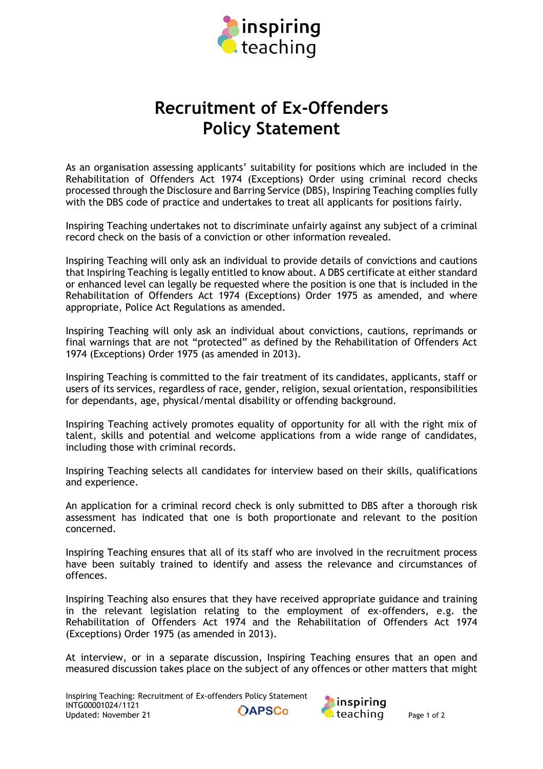

## **Recruitment of Ex-Offenders Policy Statement**

As an organisation assessing applicants' suitability for positions which are included in the Rehabilitation of Offenders Act 1974 (Exceptions) Order using criminal record checks processed through the Disclosure and Barring Service (DBS), Inspiring Teaching complies fully with the DBS code of practice and undertakes to treat all applicants for positions fairly.

Inspiring Teaching undertakes not to discriminate unfairly against any subject of a criminal record check on the basis of a conviction or other information revealed.

Inspiring Teaching will only ask an individual to provide details of convictions and cautions that Inspiring Teaching is legally entitled to know about. A DBS certificate at either standard or enhanced level can legally be requested where the position is one that is included in the Rehabilitation of Offenders Act 1974 (Exceptions) Order 1975 as amended, and where appropriate, Police Act Regulations as amended.

Inspiring Teaching will only ask an individual about convictions, cautions, reprimands or final warnings that are not "protected" as defined by the Rehabilitation of Offenders Act 1974 (Exceptions) Order 1975 (as amended in 2013).

Inspiring Teaching is committed to the fair treatment of its candidates, applicants, staff or users of its services, regardless of race, gender, religion, sexual orientation, responsibilities for dependants, age, physical/mental disability or offending background.

Inspiring Teaching actively promotes equality of opportunity for all with the right mix of talent, skills and potential and welcome applications from a wide range of candidates, including those with criminal records.

Inspiring Teaching selects all candidates for interview based on their skills, qualifications and experience.

An application for a criminal record check is only submitted to DBS after a thorough risk assessment has indicated that one is both proportionate and relevant to the position concerned.

Inspiring Teaching ensures that all of its staff who are involved in the recruitment process have been suitably trained to identify and assess the relevance and circumstances of offences.

Inspiring Teaching also ensures that they have received appropriate guidance and training in the relevant legislation relating to the employment of ex-offenders, e.g. the Rehabilitation of Offenders Act 1974 and the Rehabilitation of Offenders Act 1974 (Exceptions) Order 1975 (as amended in 2013).

At interview, or in a separate discussion, Inspiring Teaching ensures that an open and measured discussion takes place on the subject of any offences or other matters that might